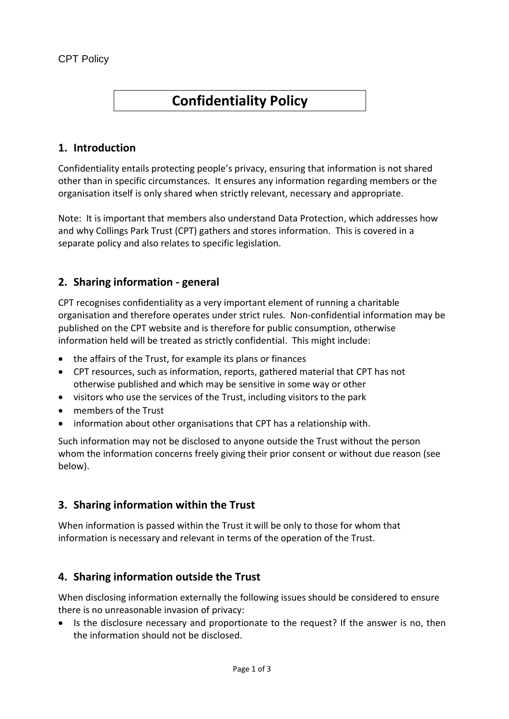# **Confidentiality Policy**

### **1. Introduction**

Confidentiality entails protecting people's privacy, ensuring that information is not shared other than in specific circumstances. It ensures any information regarding members or the organisation itself is only shared when strictly relevant, necessary and appropriate.

Note: It is important that members also understand Data Protection, which addresses how and why Collings Park Trust (CPT) gathers and stores information. This is covered in a separate policy and also relates to specific legislation.

## **2. Sharing information - general**

CPT recognises confidentiality as a very important element of running a charitable organisation and therefore operates under strict rules. Non-confidential information may be published on the CPT website and is therefore for public consumption, otherwise information held will be treated as strictly confidential. This might include:

- the affairs of the Trust, for example its plans or finances
- CPT resources, such as information, reports, gathered material that CPT has not otherwise published and which may be sensitive in some way or other
- visitors who use the services of the Trust, including visitors to the park
- members of the Trust
- information about other organisations that CPT has a relationship with.

Such information may not be disclosed to anyone outside the Trust without the person whom the information concerns freely giving their prior consent or without due reason (see below).

#### **3. Sharing information within the Trust**

When information is passed within the Trust it will be only to those for whom that information is necessary and relevant in terms of the operation of the Trust.

#### **4. Sharing information outside the Trust**

When disclosing information externally the following issues should be considered to ensure there is no unreasonable invasion of privacy:

 Is the disclosure necessary and proportionate to the request? If the answer is no, then the information should not be disclosed.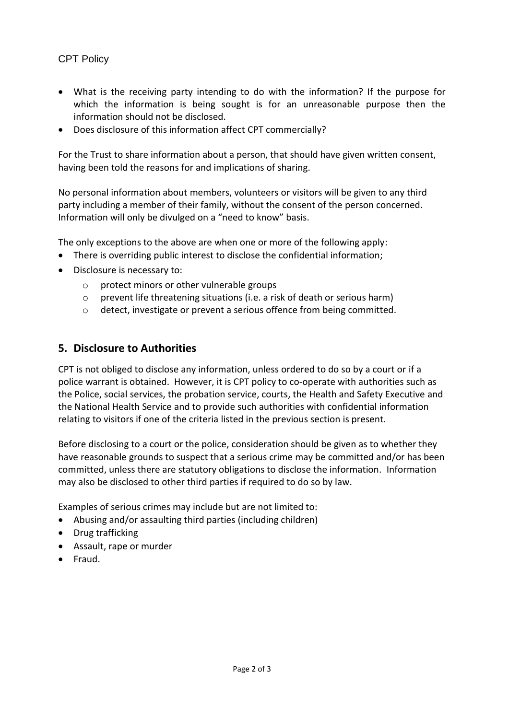#### CPT Policy

- What is the receiving party intending to do with the information? If the purpose for which the information is being sought is for an unreasonable purpose then the information should not be disclosed.
- Does disclosure of this information affect CPT commercially?

For the Trust to share information about a person, that should have given written consent, having been told the reasons for and implications of sharing.

No personal information about members, volunteers or visitors will be given to any third party including a member of their family, without the consent of the person concerned. Information will only be divulged on a "need to know" basis.

The only exceptions to the above are when one or more of the following apply:

- There is overriding public interest to disclose the confidential information;
- Disclosure is necessary to:
	- o protect minors or other vulnerable groups
	- o prevent life threatening situations (i.e. a risk of death or serious harm)
	- o detect, investigate or prevent a serious offence from being committed.

#### **5. Disclosure to Authorities**

CPT is not obliged to disclose any information, unless ordered to do so by a court or if a police warrant is obtained. However, it is CPT policy to co-operate with authorities such as the Police, social services, the probation service, courts, the Health and Safety Executive and the National Health Service and to provide such authorities with confidential information relating to visitors if one of the criteria listed in the previous section is present.

Before disclosing to a court or the police, consideration should be given as to whether they have reasonable grounds to suspect that a serious crime may be committed and/or has been committed, unless there are statutory obligations to disclose the information. Information may also be disclosed to other third parties if required to do so by law.

Examples of serious crimes may include but are not limited to:

- Abusing and/or assaulting third parties (including children)
- Drug trafficking
- Assault, rape or murder
- **•** Fraud